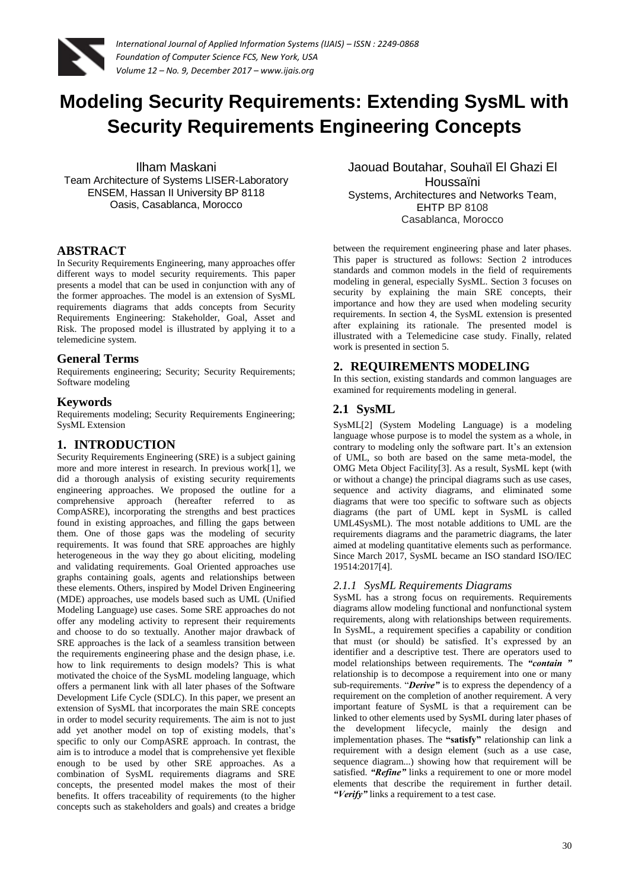

# **Modeling Security Requirements: Extending SysML with Security Requirements Engineering Concepts**

Ilham Maskani Team Architecture of Systems LISER-Laboratory ENSEM, Hassan II University BP 8118 Oasis, Casablanca, Morocco

#### **ABSTRACT**

In Security Requirements Engineering, many approaches offer different ways to model security requirements. This paper presents a model that can be used in conjunction with any of the former approaches. The model is an extension of SysML requirements diagrams that adds concepts from Security Requirements Engineering: Stakeholder, Goal, Asset and Risk. The proposed model is illustrated by applying it to a telemedicine system.

#### **General Terms**

Requirements engineering; Security; Security Requirements; Software modeling

#### **Keywords**

Requirements modeling; Security Requirements Engineering; SysML Extension

#### **1. INTRODUCTION**

Security Requirements Engineering (SRE) is a subject gaining more and more interest in research. In previous work[1], we did a thorough analysis of existing security requirements engineering approaches. We proposed the outline for a comprehensive approach (hereafter referred to as CompASRE), incorporating the strengths and best practices found in existing approaches, and filling the gaps between them. One of those gaps was the modeling of security requirements. It was found that SRE approaches are highly heterogeneous in the way they go about eliciting, modeling and validating requirements. Goal Oriented approaches use graphs containing goals, agents and relationships between these elements. Others, inspired by Model Driven Engineering (MDE) approaches, use models based such as UML (Unified Modeling Language) use cases. Some SRE approaches do not offer any modeling activity to represent their requirements and choose to do so textually. Another major drawback of SRE approaches is the lack of a seamless transition between the requirements engineering phase and the design phase, i.e. how to link requirements to design models? This is what motivated the choice of the SysML modeling language, which offers a permanent link with all later phases of the Software Development Life Cycle (SDLC). In this paper, we present an extension of SysML that incorporates the main SRE concepts in order to model security requirements. The aim is not to just add yet another model on top of existing models, that's specific to only our CompASRE approach. In contrast, the aim is to introduce a model that is comprehensive yet flexible enough to be used by other SRE approaches. As a combination of SysML requirements diagrams and SRE concepts, the presented model makes the most of their benefits. It offers traceability of requirements (to the higher concepts such as stakeholders and goals) and creates a bridge

Jaouad Boutahar, Souhaïl El Ghazi El Houssaïni Systems, Architectures and Networks Team, EHTP BP 8108 Casablanca, Morocco

between the requirement engineering phase and later phases. This paper is structured as follows: Section 2 introduces standards and common models in the field of requirements modeling in general, especially SysML. Section 3 focuses on security by explaining the main SRE concepts, their importance and how they are used when modeling security requirements. In section 4, the SysML extension is presented after explaining its rationale. The presented model is illustrated with a Telemedicine case study. Finally, related work is presented in section 5.

# **2. REQUIREMENTS MODELING**

In this section, existing standards and common languages are examined for requirements modeling in general.

# **2.1 SysML**

SysML[2] (System Modeling Language) is a modeling language whose purpose is to model the system as a whole, in contrary to modeling only the software part. It's an extension of UML, so both are based on the same meta-model, the OMG Meta Object Facility[3]. As a result, SysML kept (with or without a change) the principal diagrams such as use cases, sequence and activity diagrams, and eliminated some diagrams that were too specific to software such as objects diagrams (the part of UML kept in SysML is called UML4SysML). The most notable additions to UML are the requirements diagrams and the parametric diagrams, the later aimed at modeling quantitative elements such as performance. Since March 2017, SysML became an ISO standard ISO/IEC 19514:2017[4].

#### *2.1.1 SysML Requirements Diagrams*

SysML has a strong focus on requirements. Requirements diagrams allow modeling functional and nonfunctional system requirements, along with relationships between requirements. In SysML, a requirement specifies a capability or condition that must (or should) be satisfied. It's expressed by an identifier and a descriptive test. There are operators used to model relationships between requirements. The *"contain "* relationship is to decompose a requirement into one or many sub-requirements. "*Derive"* is to express the dependency of a requirement on the completion of another requirement. A very important feature of SysML is that a requirement can be linked to other elements used by SysML during later phases of the development lifecycle, mainly the design and implementation phases. The **"satisfy"** relationship can link a requirement with a design element (such as a use case, sequence diagram...) showing how that requirement will be satisfied. *"Refine"* links a requirement to one or more model elements that describe the requirement in further detail. *"Verify"* links a requirement to a test case.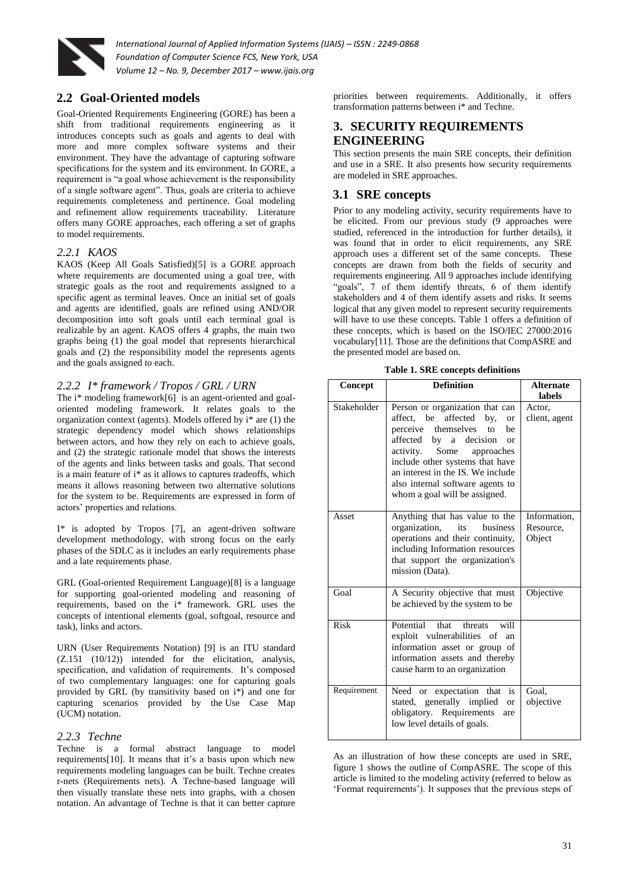

# **2.2 Goal-Oriented models**

Goal-Oriented Requirements Engineering (GORE) has been a shift from traditional requirements engineering as it introduces concepts such as goals and agents to deal with more and more complex software systems and their environment. They have the advantage of capturing software specifications for the system and its environment. In GORE, a requirement is "a goal whose achievement is the responsibility of a single software agent". Thus, goals are criteria to achieve requirements completeness and pertinence. Goal modeling and refinement allow requirements traceability. Literature offers many GORE approaches, each offering a set of graphs to model requirements.

#### *2.2.1 KAOS*

KAOS (Keep All Goals Satisfied)[5] is a GORE approach where requirements are documented using a goal tree, with strategic goals as the root and requirements assigned to a specific agent as terminal leaves. Once an initial set of goals and agents are identified, goals are refined using AND/OR decomposition into soft goals until each terminal goal is realizable by an agent. KAOS offers 4 graphs, the main two graphs being (1) the goal model that represents hierarchical goals and (2) the responsibility model the represents agents and the goals assigned to each.

#### *2.2.2 I\* framework / Tropos / GRL / URN*

The i\* modeling framework[6] is an agent-oriented and goaloriented modeling framework. It relates goals to the organization context (agents). Models offered by i\* are (1) the strategic dependency model which shows relationships between actors, and how they rely on each to achieve goals, and (2) the strategic rationale model that shows the interests of the agents and links between tasks and goals. That second is a main feature of i\* as it allows to captures tradeoffs, which means it allows reasoning between two alternative solutions for the system to be. Requirements are expressed in form of actors' properties and relations.

I\* is adopted by Tropos [7], an agent-driven software development methodology, with strong focus on the early phases of the SDLC as it includes an early requirements phase and a late requirements phase.

GRL (Goal-oriented Requirement Language)[8] is a language for supporting goal-oriented modeling and reasoning of requirements, based on the i\* framework. GRL uses the concepts of intentional elements (goal, softgoal, resource and task), links and actors.

URN (User Requirements Notation) [9] is an ITU standard (Z.151 (10/12)) intended for the elicitation, analysis, specification, and validation of requirements. It's composed of two complementary languages: one for capturing goals provided by GRL (by transitivity based on i\*) and one for capturing scenarios provided by the [Use Case Map](http://jucmnav.softwareengineering.ca/foswiki/bin/view/UCM/AboutUseCaseMaps)  [\(UCM\)](http://jucmnav.softwareengineering.ca/foswiki/bin/view/UCM/AboutUseCaseMaps) notation.

#### *2.2.3 Techne*

Techne is a formal abstract language to model requirements[10]. It means that it's a basis upon which new requirements modeling languages can be built. Techne creates r-nets (Requirements nets). A Techne-based language will then visually translate these nets into graphs, with a chosen notation. An advantage of Techne is that it can better capture

priorities between requirements. Additionally, it offers transformation patterns between i\* and Techne.

#### **3. SECURITY REQUIREMENTS ENGINEERING**

This section presents the main SRE concepts, their definition and use in a SRE. It also presents how security requirements are modeled in SRE approaches.

# **3.1 SRE concepts**

Prior to any modeling activity, security requirements have to be elicited. From our previous study (9 approaches were studied, referenced in the introduction for further details), it was found that in order to elicit requirements, any SRE approach uses a different set of the same concepts. These concepts are drawn from both the fields of security and requirements engineering. All 9 approaches include identifying "goals", 7 of them identify threats, 6 of them identify stakeholders and 4 of them identify assets and risks. It seems logical that any given model to represent security requirements will have to use these concepts. Table 1 offers a definition of these concepts, which is based on the ISO/IEC 27000:2016 vocabulary[11]. Those are the definitions that CompASRE and the presented model are based on.

| <b>Table 1. SRE concepts definitions</b> |  |
|------------------------------------------|--|
|------------------------------------------|--|

| Concept     | <b>Definition</b>                                                                                                                                                                                                                                                                                                                    | <b>Alternate</b><br>labels          |
|-------------|--------------------------------------------------------------------------------------------------------------------------------------------------------------------------------------------------------------------------------------------------------------------------------------------------------------------------------------|-------------------------------------|
| Stakeholder | Person or organization that can<br>affected<br>affect. be<br>by,<br><b>or</b><br>perceive themselves to<br>he<br>affected by a decision<br><b>or</b><br>Some<br>activity.<br>approaches<br>include other systems that have<br>an interest in the IS. We include<br>also internal software agents to<br>whom a goal will be assigned. | Actor,<br>client, agent             |
| Asset       | Anything that has value to the<br>organization,<br>its<br>business<br>operations and their continuity,<br>including Information resources<br>that support the organization's<br>mission (Data).                                                                                                                                      | Information,<br>Resource,<br>Object |
| Goal        | A Security objective that must<br>be achieved by the system to be                                                                                                                                                                                                                                                                    | Objective                           |
| Risk        | Potential<br>that<br>will<br>threats<br>exploit vulnerabilities of an<br>information asset or group of<br>information assets and thereby<br>cause harm to an organization                                                                                                                                                            |                                     |
| Requirement | Need or expectation that is<br>stated, generally implied<br><b>or</b><br>obligatory. Requirements<br>are<br>low level details of goals.                                                                                                                                                                                              | Goal,<br>objective                  |

As an illustration of how these concepts are used in SRE, figure 1 shows the outline of CompASRE. The scope of this article is limited to the modeling activity (referred to below as 'Format requirements'). It supposes that the previous steps of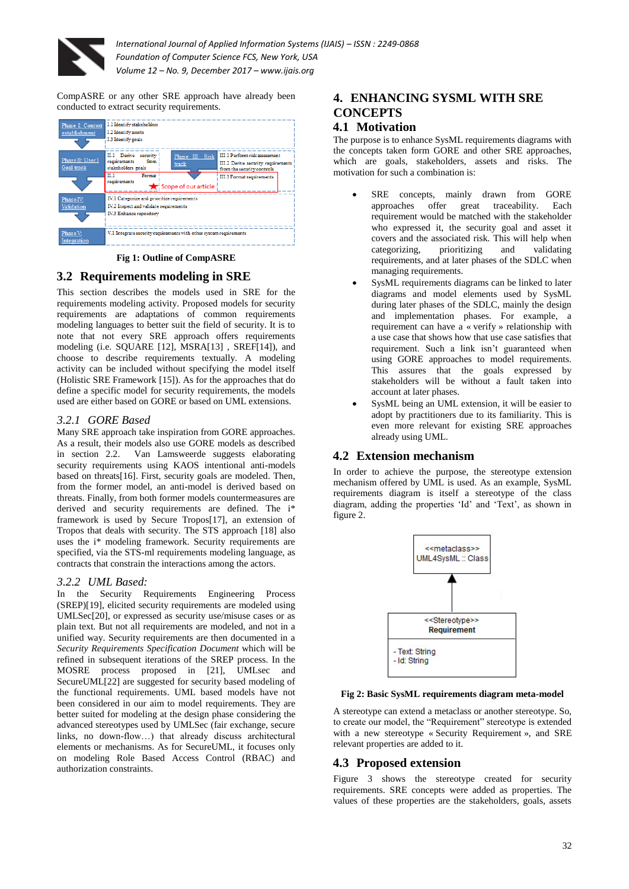

CompASRE or any other SRE approach have already been conducted to extract security requirements.

| Phase I: Context<br>establishment | I.1 Identify stakeholders<br>I.2 Identify assets<br>I.3 Identify goals                                           |                                                                    |                                                                                                                                |  |
|-----------------------------------|------------------------------------------------------------------------------------------------------------------|--------------------------------------------------------------------|--------------------------------------------------------------------------------------------------------------------------------|--|
| Phase II: User 1<br>Goal track    | II.1 Derive security<br>requirements<br>from<br>stakeholders goals<br>πτ<br>Format<br>requirements               | Phase III: Risk<br>track                                           | III.1 Perform risk assessment<br>III.2 Derive security requirements<br>from the security controls<br>III.3 Format requirements |  |
| Phase IV:<br>Validation           | IV.1 Categorize and prioritize requirements<br>IV.2 Inspect and validate requirements<br>IV.3 Enhance repository | Scope of our article                                               |                                                                                                                                |  |
| Phase V:<br>Integration           |                                                                                                                  | V.1 Integrate security requirements with other system requirements |                                                                                                                                |  |

**Fig 1: Outline of CompASRE**

# **3.2 Requirements modeling in SRE**

This section describes the models used in SRE for the requirements modeling activity. Proposed models for security requirements are adaptations of common requirements modeling languages to better suit the field of security. It is to note that not every SRE approach offers requirements modeling (i.e. SOUARE [12], MSRA[13], SREF[14]), and choose to describe requirements textually. A modeling activity can be included without specifying the model itself (Holistic SRE Framework [15]). As for the approaches that do define a specific model for security requirements, the models used are either based on GORE or based on UML extensions.

#### *3.2.1 GORE Based*

Many SRE approach take inspiration from GORE approaches. As a result, their models also use GORE models as described in section 2.2. Van Lamsweerde suggests elaborating security requirements using KAOS intentional anti-models based on threats[16]. First, security goals are modeled. Then, from the former model, an anti-model is derived based on threats. Finally, from both former models countermeasures are derived and security requirements are defined. The i\* framework is used by Secure Tropos[17], an extension of Tropos that deals with security. The STS approach [18] also uses the i\* modeling framework. Security requirements are specified, via the STS-ml requirements modeling language, as contracts that constrain the interactions among the actors.

#### *3.2.2 UML Based:*

In the Security Requirements Engineering Process (SREP)[19], elicited security requirements are modeled using UMLSec[20], or expressed as security use/misuse cases or as plain text. But not all requirements are modeled, and not in a unified way. Security requirements are then documented in a *Security Requirements Specification Document* which will be refined in subsequent iterations of the SREP process. In the MOSRE process proposed in [21], UMLsec and SecureUML[22] are suggested for security based modeling of the functional requirements. UML based models have not been considered in our aim to model requirements. They are better suited for modeling at the design phase considering the advanced stereotypes used by UMLSec (fair exchange, secure links, no down-flow…) that already discuss architectural elements or mechanisms. As for SecureUML, it focuses only on modeling Role Based Access Control (RBAC) and authorization constraints.

#### **4. ENHANCING SYSML WITH SRE CONCEPTS 4.1 Motivation**

#### The purpose is to enhance SysML requirements diagrams with the concepts taken form GORE and other SRE approaches, which are goals, stakeholders, assets and risks. The motivation for such a combination is:

- SRE concepts, mainly drawn from GORE approaches offer great traceability. Each requirement would be matched with the stakeholder who expressed it, the security goal and asset it covers and the associated risk. This will help when categorizing, prioritizing and validating requirements, and at later phases of the SDLC when managing requirements.
- SysML requirements diagrams can be linked to later diagrams and model elements used by SysML during later phases of the SDLC, mainly the design and implementation phases. For example, a requirement can have a « verify » relationship with a use case that shows how that use case satisfies that requirement. Such a link isn't guaranteed when using GORE approaches to model requirements. This assures that the goals expressed by stakeholders will be without a fault taken into account at later phases.
- SysML being an UML extension, it will be easier to adopt by practitioners due to its familiarity. This is even more relevant for existing SRE approaches already using UML.

# **4.2 Extension mechanism**

In order to achieve the purpose, the stereotype extension mechanism offered by UML is used. As an example, SysML requirements diagram is itself a stereotype of the class diagram, adding the properties 'Id' and 'Text', as shown in figure 2.



#### **Fig 2: Basic SysML requirements diagram meta-model**

A stereotype can extend a metaclass or another stereotype. So, to create our model, the "Requirement" stereotype is extended with a new stereotype « Security Requirement », and SRE relevant properties are added to it.

# **4.3 Proposed extension**

Figure 3 shows the stereotype created for security requirements. SRE concepts were added as properties. The values of these properties are the stakeholders, goals, assets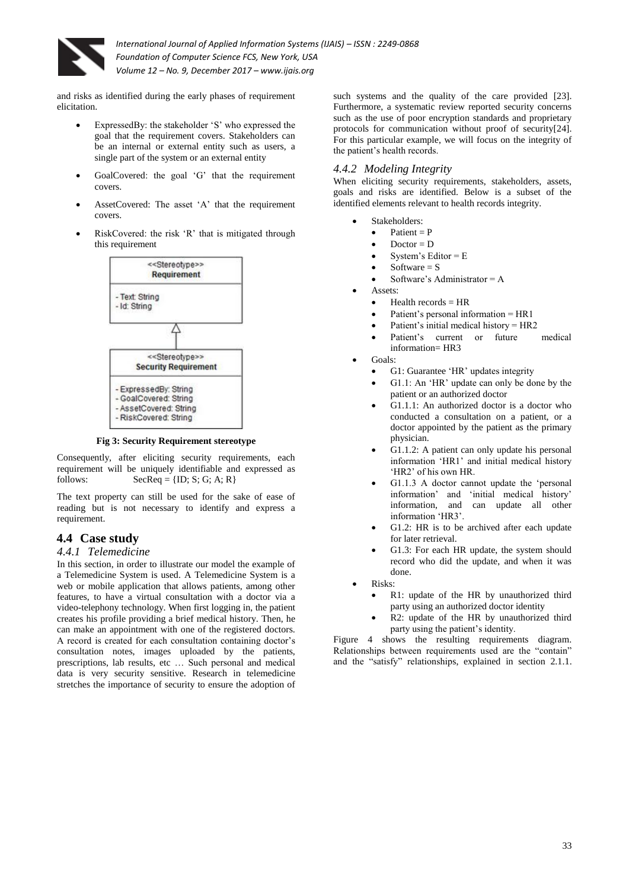

and risks as identified during the early phases of requirement elicitation.

- ExpressedBy: the stakeholder 'S' who expressed the goal that the requirement covers. Stakeholders can be an internal or external entity such as users, a single part of the system or an external entity
- GoalCovered: the goal 'G' that the requirement covers.
- AssetCovered: The asset 'A' that the requirement covers.
- RiskCovered: the risk 'R' that is mitigated through this requirement



**Fig 3: Security Requirement stereotype** 

Consequently, after eliciting security requirements, each requirement will be uniquely identifiable and expressed as follows: SecReq =  ${ID; S; G; A; R}$ 

The text property can still be used for the sake of ease of reading but is not necessary to identify and express a requirement.

# **4.4 Case study**

#### *4.4.1 Telemedicine*

In this section, in order to illustrate our model the example of a Telemedicine System is used. A Telemedicine System is a web or mobile application that allows patients, among other features, to have a virtual consultation with a doctor via a video-telephony technology. When first logging in, the patient creates his profile providing a brief medical history. Then, he can make an appointment with one of the registered doctors. A record is created for each consultation containing doctor's consultation notes, images uploaded by the patients, prescriptions, lab results, etc … Such personal and medical data is very security sensitive. Research in telemedicine stretches the importance of security to ensure the adoption of

such systems and the quality of the care provided [23]. Furthermore, a systematic review reported security concerns such as the use of poor encryption standards and proprietary protocols for communication without proof of security[24]. For this particular example, we will focus on the integrity of the patient's health records.

#### *4.4.2 Modeling Integrity*

When eliciting security requirements, stakeholders, assets, goals and risks are identified. Below is a subset of the identified elements relevant to health records integrity.

- Stakeholders:
	- $\bullet$  Patient = P
	- $Doctor = D$
	- System's Editor = E
	- Software  $= S$
	- Software's Administrator = A
	- Assets:
		- Health records  $=$  HR
		- Patient's personal information = HR1
		- Patient's initial medical history = HR2
		- Patient's current or future medical information= HR3
	- Goals:
		- G1: Guarantee 'HR' updates integrity
		- G1.1: An 'HR' update can only be done by the patient or an authorized doctor
		- G1.1.1: An authorized doctor is a doctor who conducted a consultation on a patient, or a doctor appointed by the patient as the primary physician.
		- G1.1.2: A patient can only update his personal information 'HR1' and initial medical history 'HR2' of his own HR.
		- G1.1.3 A doctor cannot update the 'personal information' and 'initial medical history' information, and can update all other information 'HR3'.
		- G1.2: HR is to be archived after each update for later retrieval.
		- G1.3: For each HR update, the system should record who did the update, and when it was done.
	- Risks:
		- R1: update of the HR by unauthorized third party using an authorized doctor identity
		- R2: update of the HR by unauthorized third party using the patient's identity.

Figure 4 shows the resulting requirements diagram. Relationships between requirements used are the "contain" and the "satisfy" relationships, explained in section 2.1.1.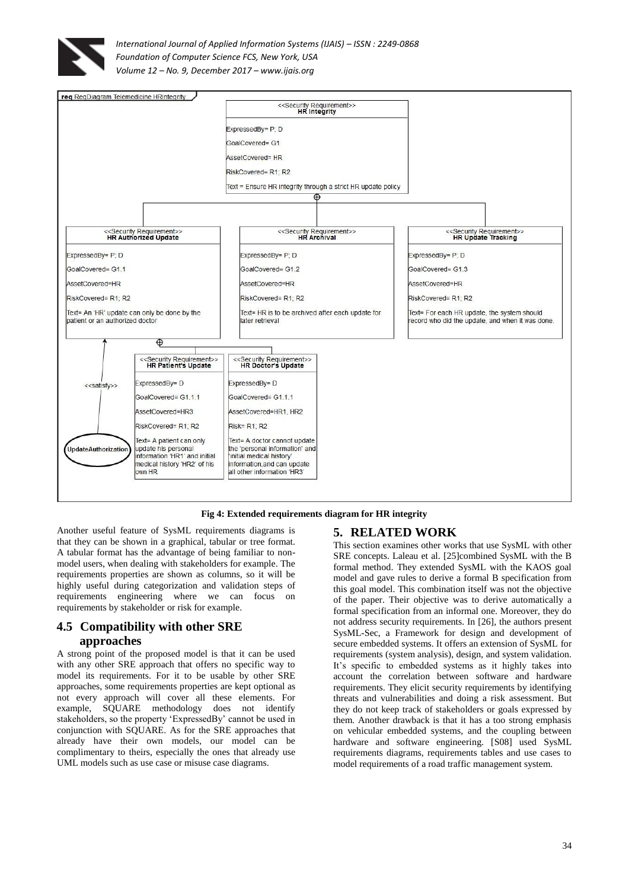



#### **Fig 4: Extended requirements diagram for HR integrity**

Another useful feature of SysML requirements diagrams is that they can be shown in a graphical, tabular or tree format. A tabular format has the advantage of being familiar to nonmodel users, when dealing with stakeholders for example. The requirements properties are shown as columns, so it will be highly useful during categorization and validation steps of requirements engineering where we can focus on requirements by stakeholder or risk for example.

#### **4.5 Compatibility with other SRE approaches**

A strong point of the proposed model is that it can be used with any other SRE approach that offers no specific way to model its requirements. For it to be usable by other SRE approaches, some requirements properties are kept optional as not every approach will cover all these elements. For example, SQUARE methodology does not identify stakeholders, so the property 'ExpressedBy' cannot be used in conjunction with SQUARE. As for the SRE approaches that already have their own models, our model can be complimentary to theirs, especially the ones that already use UML models such as use case or misuse case diagrams.

#### **5. RELATED WORK**

This section examines other works that use SysML with other SRE concepts. Laleau et al. [25]combined SysML with the B formal method. They extended SysML with the KAOS goal model and gave rules to derive a formal B specification from this goal model. This combination itself was not the objective of the paper. Their objective was to derive automatically a formal specification from an informal one. Moreover, they do not address security requirements. In [26], the authors present SysML-Sec, a Framework for design and development of secure embedded systems. It offers an extension of SysML for requirements (system analysis), design, and system validation. It's specific to embedded systems as it highly takes into account the correlation between software and hardware requirements. They elicit security requirements by identifying threats and vulnerabilities and doing a risk assessment. But they do not keep track of stakeholders or goals expressed by them. Another drawback is that it has a too strong emphasis on vehicular embedded systems, and the coupling between hardware and software engineering. [S08] used SysML requirements diagrams, requirements tables and use cases to model requirements of a road traffic management system.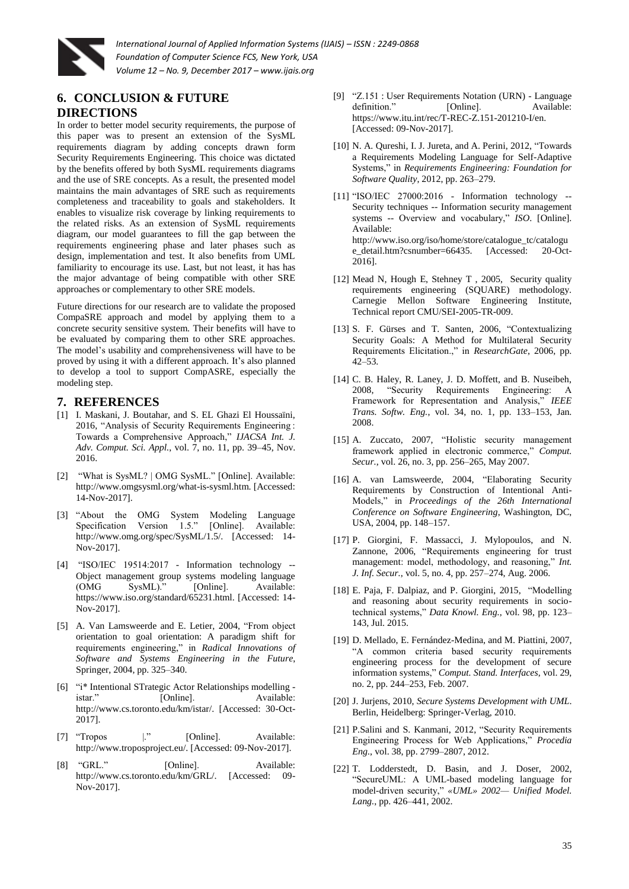

# **6. CONCLUSION & FUTURE**

#### **DIRECTIONS**

In order to better model security requirements, the purpose of this paper was to present an extension of the SysML requirements diagram by adding concepts drawn form Security Requirements Engineering. This choice was dictated by the benefits offered by both SysML requirements diagrams and the use of SRE concepts. As a result, the presented model maintains the main advantages of SRE such as requirements completeness and traceability to goals and stakeholders. It enables to visualize risk coverage by linking requirements to the related risks. As an extension of SysML requirements diagram, our model guarantees to fill the gap between the requirements engineering phase and later phases such as design, implementation and test. It also benefits from UML familiarity to encourage its use. Last, but not least, it has has the major advantage of being compatible with other SRE approaches or complementary to other SRE models.

Future directions for our research are to validate the proposed CompaSRE approach and model by applying them to a concrete security sensitive system. Their benefits will have to be evaluated by comparing them to other SRE approaches. The model's usability and comprehensiveness will have to be proved by using it with a different approach. It's also planned to develop a tool to support CompASRE, especially the modeling step.

#### **7. REFERENCES**

- [1] I. Maskani, J. Boutahar, and S. EL Ghazi El Houssaïni, 2016, "Analysis of Security Requirements Engineering : Towards a Comprehensive Approach," *IJACSA Int. J. Adv. Comput. Sci. Appl.*, vol. 7, no. 11, pp. 39–45, Nov. 2016.
- [2] "What is SysML? | OMG SysML." [Online]. Available: http://www.omgsysml.org/what-is-sysml.htm. [Accessed: 14-Nov-2017].
- [3] "About the OMG System Modeling Language Specification Version 1.5." [Online]. Available: http://www.omg.org/spec/SysML/1.5/. [Accessed: 14- Nov-2017].
- [4] "ISO/IEC 19514:2017 Information technology -- Object management group systems modeling language (OMG SysML)." [Online]. Available: https://www.iso.org/standard/65231.html. [Accessed: 14- Nov-2017].
- [5] A. Van Lamsweerde and E. Letier, 2004, "From object orientation to goal orientation: A paradigm shift for requirements engineering," in *Radical Innovations of Software and Systems Engineering in the Future*, Springer, 2004, pp. 325–340.
- [6] "i\* Intentional STrategic Actor Relationships modelling [Online]. Available: http://www.cs.toronto.edu/km/istar/. [Accessed: 30-Oct-2017].
- [7] "Tropos 1." [Online]. Available: http://www.troposproject.eu/. [Accessed: 09-Nov-2017].
- [8] "GRL." [Online]. Available: http://www.cs.toronto.edu/km/GRL/. [Accessed: 09- Nov-2017].
- [9] "Z.151 : User Requirements Notation (URN) Language definition." [Online]. Available: https://www.itu.int/rec/T-REC-Z.151-201210-I/en. [Accessed: 09-Nov-2017].
- [10] N. A. Qureshi, I. J. Jureta, and A. Perini, 2012, "Towards a Requirements Modeling Language for Self-Adaptive Systems," in *Requirements Engineering: Foundation for Software Quality*, 2012, pp. 263–279.
- [11] "ISO/IEC 27000:2016 Information technology -- Security techniques -- Information security management systems -- Overview and vocabulary," *ISO*. [Online]. Available: http://www.iso.org/iso/home/store/catalogue\_tc/catalogu e\_detail.htm?csnumber=66435. [Accessed: 20-Oct-2016].
- [12] Mead N, Hough E, Stehney T , 2005, Security quality requirements engineering (SQUARE) methodology. Carnegie Mellon Software Engineering Institute, Technical report CMU/SEI-2005-TR-009.
- [13] S. F. Gürses and T. Santen, 2006, "Contextualizing Security Goals: A Method for Multilateral Security Requirements Elicitation.," in *ResearchGate*, 2006, pp. 42–53.
- [14] C. B. Haley, R. Laney, J. D. Moffett, and B. Nuseibeh, 2008, "Security Requirements Engineering: A Framework for Representation and Analysis," *IEEE Trans. Softw. Eng.*, vol. 34, no. 1, pp. 133–153, Jan. 2008.
- [15] A. Zuccato, 2007, "Holistic security management framework applied in electronic commerce," *Comput. Secur.*, vol. 26, no. 3, pp. 256–265, May 2007.
- [16] A. van Lamsweerde, 2004, "Elaborating Security Requirements by Construction of Intentional Anti-Models," in *Proceedings of the 26th International Conference on Software Engineering*, Washington, DC, USA, 2004, pp. 148–157.
- [17] P. Giorgini, F. Massacci, J. Mylopoulos, and N. Zannone, 2006, "Requirements engineering for trust management: model, methodology, and reasoning," *Int. J. Inf. Secur.*, vol. 5, no. 4, pp. 257–274, Aug. 2006.
- [18] E. Paja, F. Dalpiaz, and P. Giorgini, 2015, "Modelling and reasoning about security requirements in sociotechnical systems," *Data Knowl. Eng.*, vol. 98, pp. 123– 143, Jul. 2015.
- [19] D. Mellado, E. Fernández-Medina, and M. Piattini, 2007, "A common criteria based security requirements engineering process for the development of secure information systems," *Comput. Stand. Interfaces*, vol. 29, no. 2, pp. 244–253, Feb. 2007.
- [20] J. Jurjens, 2010, *Secure Systems Development with UML*. Berlin, Heidelberg: Springer-Verlag, 2010.
- [21] P.Salini and S. Kanmani, 2012, "Security Requirements Engineering Process for Web Applications," *Procedia Eng.*, vol. 38, pp. 2799–2807, 2012.
- [22] T. Lodderstedt, D. Basin, and J. Doser, 2002, "SecureUML: A UML-based modeling language for model-driven security," *«UML» 2002— Unified Model. Lang.*, pp. 426–441, 2002.